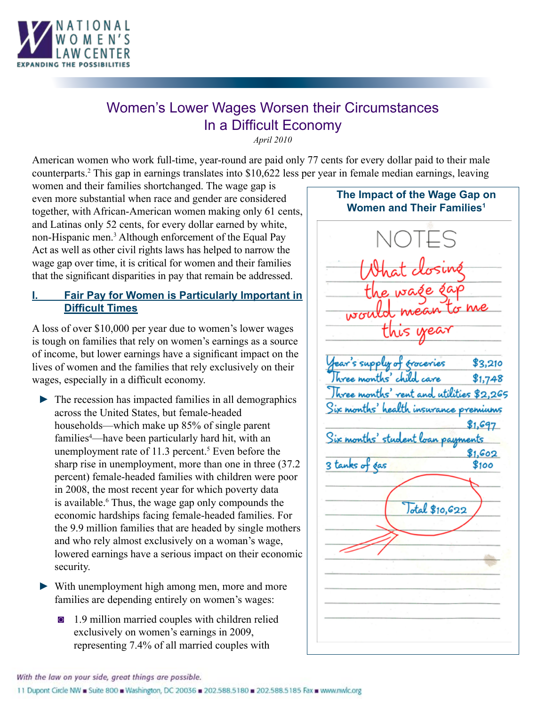

# Women's Lower Wages Worsen their Circumstances In a Difficult Economy

*April 2010*

American women who work full-time, year-round are paid only 77 cents for every dollar paid to their male counterparts.2 This gap in earnings translates into \$10,622 less per year in female median earnings, leaving

women and their families shortchanged. The wage gap is even more substantial when race and gender are considered together, with African-American women making only 61 cents, and Latinas only 52 cents, for every dollar earned by white, non-Hispanic men.<sup>3</sup> Although enforcement of the Equal Pay Act as well as other civil rights laws has helped to narrow the wage gap over time, it is critical for women and their families that the significant disparities in pay that remain be addressed.

## **Fair Pay for Women is Particularly Important in Difficult Times**

A loss of over \$10,000 per year due to women's lower wages is tough on families that rely on women's earnings as a source of income, but lower earnings have a significant impact on the lives of women and the families that rely exclusively on their wages, especially in a difficult economy.

- $\triangleright$  The recession has impacted families in all demographics across the United States, but female-headed households—which make up 85% of single parent families<sup>4</sup>—have been particularly hard hit, with an unemployment rate of  $11.3$  percent.<sup>5</sup> Even before the sharp rise in unemployment, more than one in three (37.2 percent) female-headed families with children were poor in 2008, the most recent year for which poverty data is available.<sup>6</sup> Thus, the wage gap only compounds the economic hardships facing female-headed families. For the 9.9 million families that are headed by single mothers and who rely almost exclusively on a woman's wage, lowered earnings have a serious impact on their economic security.
- ► With unemployment high among men, more and more families are depending entirely on women's wages:
	- ◙ 1.9 million married couples with children relied exclusively on women's earnings in 2009, representing 7.4% of all married couples with



With the law on your side, great things are possible.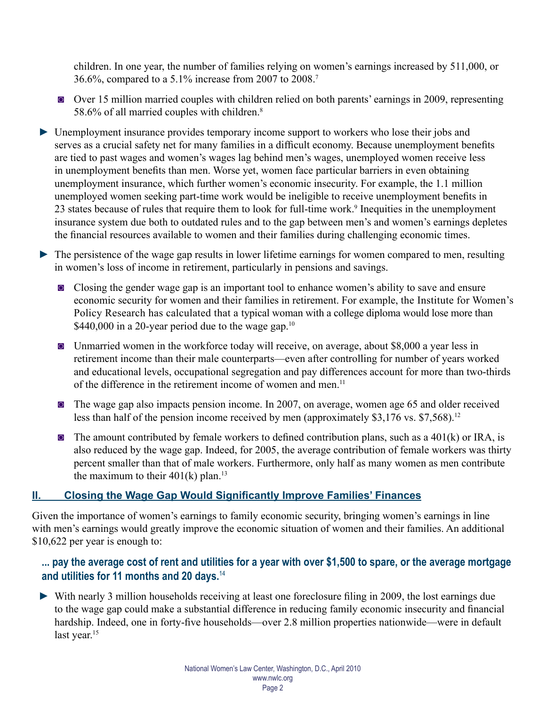children. In one year, the number of families relying on women's earnings increased by 511,000, or 36.6%, compared to a 5.1% increase from 2007 to 2008.7

- ◙ Over 15 million married couples with children relied on both parents' earnings in 2009, representing 58.6% of all married couples with children.<sup>8</sup>
- ► Unemployment insurance provides temporary income support to workers who lose their jobs and serves as a crucial safety net for many families in a difficult economy. Because unemployment benefits are tied to past wages and women's wages lag behind men's wages, unemployed women receive less in unemployment benefits than men. Worse yet, women face particular barriers in even obtaining unemployment insurance, which further women's economic insecurity. For example, the 1.1 million unemployed women seeking part-time work would be ineligible to receive unemployment benefits in 23 states because of rules that require them to look for full-time work.<sup>9</sup> Inequities in the unemployment insurance system due both to outdated rules and to the gap between men's and women's earnings depletes the financial resources available to women and their families during challenging economic times.
- ► The persistence of the wage gap results in lower lifetime earnings for women compared to men, resulting in women's loss of income in retirement, particularly in pensions and savings.
	- ◙ Closing the gender wage gap is an important tool to enhance women's ability to save and ensure economic security for women and their families in retirement. For example, the Institute for Women's Policy Research has calculated that a typical woman with a college diploma would lose more than \$440,000 in a 20-year period due to the wage gap.<sup>10</sup>
	- ◙ Unmarried women in the workforce today will receive, on average, about \$8,000 a year less in retirement income than their male counterparts—even after controlling for number of years worked and educational levels, occupational segregation and pay differences account for more than two-thirds of the difference in the retirement income of women and men.<sup>11</sup>
	- ◙ The wage gap also impacts pension income. In 2007, on average, women age 65 and older received less than half of the pension income received by men (approximately \$3,176 vs. \$7,568).<sup>12</sup>
	- $\blacksquare$  The amount contributed by female workers to defined contribution plans, such as a 401(k) or IRA, is also reduced by the wage gap. Indeed, for 2005, the average contribution of female workers was thirty percent smaller than that of male workers. Furthermore, only half as many women as men contribute the maximum to their  $401(k)$  plan.<sup>13</sup>

# **II. Closing the Wage Gap Would Significantly Improve Families' Finances**

Given the importance of women's earnings to family economic security, bringing women's earnings in line with men's earnings would greatly improve the economic situation of women and their families. An additional \$10,622 per year is enough to:

# **... pay the average cost of rent and utilities for a year with over \$1,500 to spare, or the average mortgage and utilities for 11 months and 20 days.**<sup>14</sup>

► With nearly 3 million households receiving at least one foreclosure filing in 2009, the lost earnings due to the wage gap could make a substantial difference in reducing family economic insecurity and financial hardship. Indeed, one in forty-five households—over 2.8 million properties nationwide—were in default last year.<sup>15</sup>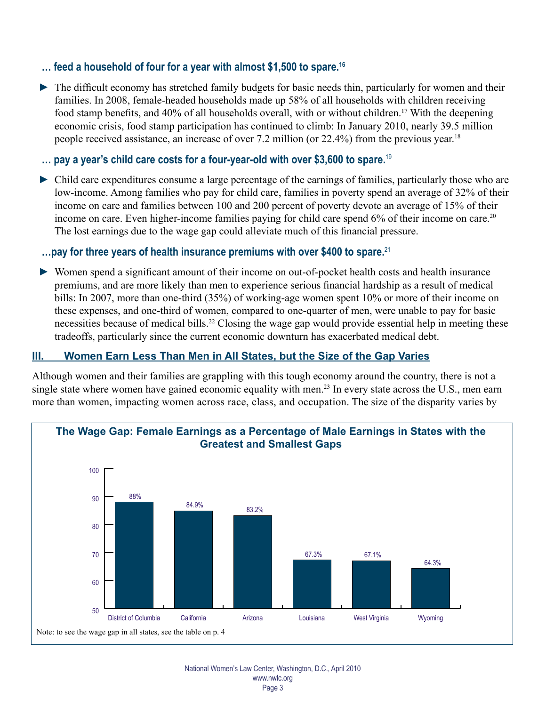## **… feed a household of four for a year with almost \$1,500 to spare.16**

► The difficult economy has stretched family budgets for basic needs thin, particularly for women and their families. In 2008, female-headed households made up 58% of all households with children receiving food stamp benefits, and 40% of all households overall, with or without children.17 With the deepening economic crisis, food stamp participation has continued to climb: In January 2010, nearly 39.5 million people received assistance, an increase of over 7.2 million (or 22.4%) from the previous year.<sup>18</sup>

#### **… pay a year's child care costs for a four-year-old with over \$3,600 to spare.**<sup>19</sup>

► Child care expenditures consume a large percentage of the earnings of families, particularly those who are low-income. Among families who pay for child care, families in poverty spend an average of 32% of their income on care and families between 100 and 200 percent of poverty devote an average of 15% of their income on care. Even higher-income families paying for child care spend 6% of their income on care.<sup>20</sup> The lost earnings due to the wage gap could alleviate much of this financial pressure.

#### **…pay for three years of health insurance premiums with over \$400 to spare.**<sup>21</sup>

► Women spend a significant amount of their income on out-of-pocket health costs and health insurance premiums, and are more likely than men to experience serious financial hardship as a result of medical bills: In 2007, more than one-third (35%) of working-age women spent 10% or more of their income on these expenses, and one-third of women, compared to one-quarter of men, were unable to pay for basic necessities because of medical bills.<sup>22</sup> Closing the wage gap would provide essential help in meeting these tradeoffs, particularly since the current economic downturn has exacerbated medical debt.

### **III. Women Earn Less Than Men in All States, but the Size of the Gap Varies**

Although women and their families are grappling with this tough economy around the country, there is not a single state where women have gained economic equality with men.<sup>23</sup> In every state across the U.S., men earn more than women, impacting women across race, class, and occupation. The size of the disparity varies by

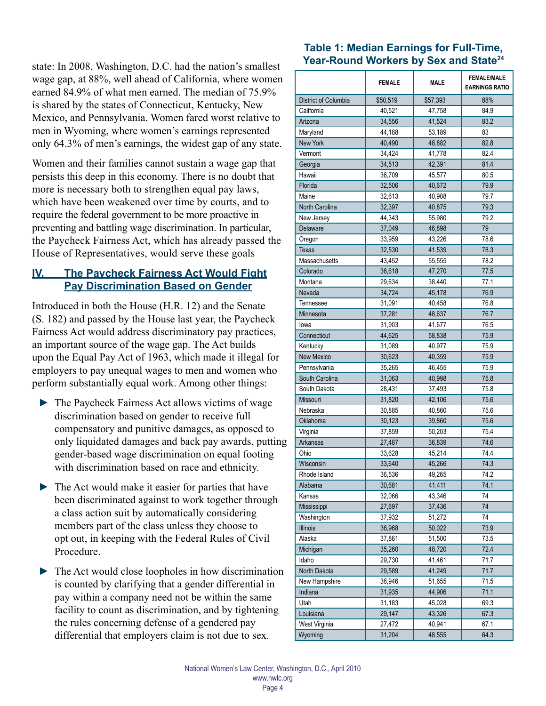state: In 2008, Washington, D.C. had the nation's smallest wage gap, at 88%, well ahead of California, where women earned 84.9% of what men earned. The median of 75.9% is shared by the states of Connecticut, Kentucky, New Mexico, and Pennsylvania. Women fared worst relative to men in Wyoming, where women's earnings represented only 64.3% of men's earnings, the widest gap of any state.

Women and their families cannot sustain a wage gap that persists this deep in this economy. There is no doubt that more is necessary both to strengthen equal pay laws, which have been weakened over time by courts, and to require the federal government to be more proactive in preventing and battling wage discrimination. In particular, the Paycheck Fairness Act, which has already passed the House of Representatives, would serve these goals

## **IV. The Paycheck Fairness Act Would Fight Pay Discrimination Based on Gender**

Introduced in both the House (H.R. 12) and the Senate (S. 182) and passed by the House last year, the Paycheck Fairness Act would address discriminatory pay practices, an important source of the wage gap. The Act builds upon the Equal Pay Act of 1963, which made it illegal for employers to pay unequal wages to men and women who perform substantially equal work. Among other things:

- ► The Paycheck Fairness Act allows victims of wage discrimination based on gender to receive full compensatory and punitive damages, as opposed to only liquidated damages and back pay awards, putting gender-based wage discrimination on equal footing with discrimination based on race and ethnicity.
- ► The Act would make it easier for parties that have been discriminated against to work together through a class action suit by automatically considering members part of the class unless they choose to opt out, in keeping with the Federal Rules of Civil **Procedure**
- $\triangleright$  The Act would close loopholes in how discrimination is counted by clarifying that a gender differential in pay within a company need not be within the same facility to count as discrimination, and by tightening the rules concerning defense of a gendered pay differential that employers claim is not due to sex.

# **Table 1: Median Earnings for Full-Time, Year-Round Workers by Sex and State24**

|                          | <b>FEMALE</b> | <b>MALE</b> | <b>FEMALE/MALE</b><br><b>EARNINGS RATIO</b> |
|--------------------------|---------------|-------------|---------------------------------------------|
| District of Columbia     | \$50,519      | \$57,393    | 88%                                         |
| California               | 40,521        | 47,758      | 84.9                                        |
| Arizona                  | 34,556        | 41,524      | 83.2                                        |
| Maryland                 | 44,188        | 53,189      | 83                                          |
| <b>New York</b>          | 40,490        | 48,882      | 82.8                                        |
| Vermont                  | 34,424        | 41,778      | 82.4                                        |
| Georgia                  | 34,513        | 42,391      | 81.4                                        |
| Hawaii                   | 36,709        | 45,577      | 80.5                                        |
| Florida                  | 32,506        | 40,672      | 79.9                                        |
| Maine                    | 32,613        | 40,908      | 79.7                                        |
| North Carolina           | 32,397        | 40,875      | 79.3                                        |
| New Jersey               | 44,343        | 55,980      | 79.2                                        |
| Delaware                 | 37,049        | 46,898      | 79                                          |
| Oregon                   | 33,959        | 43,226      | 78.6                                        |
| <b>Texas</b>             | 32,530        | 41,539      | 78.3                                        |
| Massachusetts            | 43,452        | 55,555      | 78.2                                        |
| Colorado                 | 36,618        | 47,270      | 77.5                                        |
| Montana                  | 29,634        | 38,440      | 77.1                                        |
| Nevada                   | 34,724        | 45,178      | 76.9                                        |
| Tennessee                | 31,091        | 40,458      | 76.8                                        |
| Minnesota                | 37,281        | 48,637      | 76.7                                        |
| lowa                     | 31,903        | 41,677      | 76.5                                        |
| Connecticut              | 44,625        | 58,838      | 75.9                                        |
| Kentucky                 | 31,089        | 40,977      | 75.9                                        |
| <b>New Mexico</b>        | 30,623        | 40,359      | 75.9                                        |
| Pennsylvania             | 35,265        | 46,455      | 75.9                                        |
| South Carolina           | 31,063        | 40,998      | 75.8                                        |
| South Dakota             | 28,431        | 37,493      | 75.8                                        |
| Missouri                 | 31,820        | 42,106      | 75.6                                        |
| Nebraska                 | 30,885        | 40,860      | 75.6                                        |
| Oklahoma                 | 30,123        | 39,860      | 75.6                                        |
| Virginia                 | 37,859        | 50,203      | 75.4                                        |
| Arkansas                 | 27,487        | 36,839      | 74.6                                        |
| Ohio                     | 33,628        | 45,214      | 74.4                                        |
| Wisconsin                | 33,640        | 45,266      | 74.3                                        |
| Rhode Island             | 36,536        | 49,265      | 74.2                                        |
| Alabama                  | 30,681        | 41,411      | 74.1                                        |
| Kansas                   | 32,066        | 43,346      | 74                                          |
| Mississippi              | 27,697        | 37,436      | 74                                          |
| Washington               | 37,932        | 51,272      | 74                                          |
| Illinois                 | 36,968        | 50,022      | 73.9                                        |
| Alaska                   | 37,861        | 51,500      | 73.5                                        |
| Michigan                 | 35,260        | 48,720      | 72.4                                        |
| Idaho                    | 29,730        | 41,461      | 71.7                                        |
| North Dakota             | 29,589        | 41,249      | 71.7                                        |
| New Hampshire            | 36,946        | 51,655      | 71.5                                        |
| Indiana                  | 31,935        | 44,906      | 71.1                                        |
| Utah                     |               | 45,028      | 69.3                                        |
| Louisiana                | 31,183        | 43,326      | 67.3                                        |
|                          | 29,147        | 40,941      | 67.1                                        |
| West Virginia<br>Wyoming | 27,472        |             |                                             |
|                          | 31,204        | 48,555      | 64.3                                        |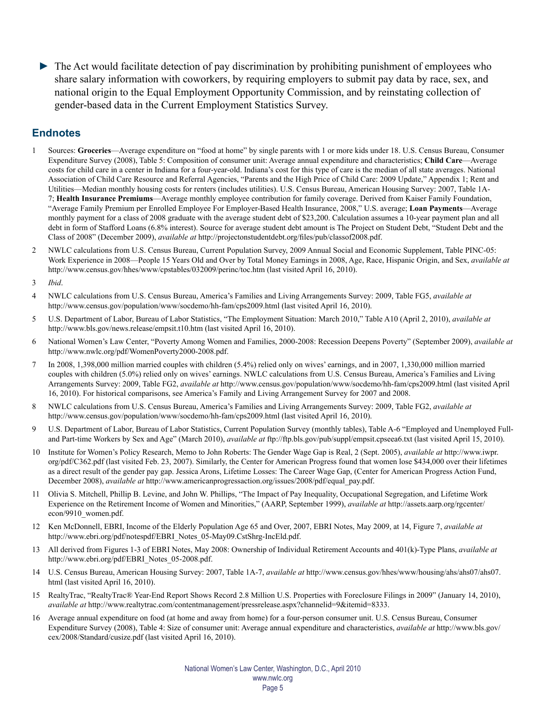► The Act would facilitate detection of pay discrimination by prohibiting punishment of employees who share salary information with coworkers, by requiring employers to submit pay data by race, sex, and national origin to the Equal Employment Opportunity Commission, and by reinstating collection of gender-based data in the Current Employment Statistics Survey.

#### **Endnotes**

- 1 Sources: **Groceries**—Average expenditure on "food at home" by single parents with 1 or more kids under 18. U.S. Census Bureau, Consumer Expenditure Survey (2008), Table 5: Composition of consumer unit: Average annual expenditure and characteristics; **Child Care**—Average costs for child care in a center in Indiana for a four-year-old. Indiana's cost for this type of care is the median of all state averages. National Association of Child Care Resource and Referral Agencies, "Parents and the High Price of Child Care: 2009 Update," Appendix 1; Rent and Utilities—Median monthly housing costs for renters (includes utilities). U.S. Census Bureau, American Housing Survey: 2007, Table 1A-7; **Health Insurance Premiums**—Average monthly employee contribution for family coverage. Derived from Kaiser Family Foundation, "Average Family Premium per Enrolled Employee For Employer-Based Health Insurance, 2008," U.S. average; **Loan Payments**—Average monthly payment for a class of 2008 graduate with the average student debt of \$23,200. Calculation assumes a 10-year payment plan and all debt in form of Stafford Loans (6.8% interest). Source for average student debt amount is The Project on Student Debt, "Student Debt and the Class of 2008" (December 2009), *available at* http://projectonstudentdebt.org/files/pub/classof2008.pdf.
- 2 NWLC calculations from U.S. Census Bureau, Current Population Survey, 2009 Annual Social and Economic Supplement, Table PINC-05: Work Experience in 2008—People 15 Years Old and Over by Total Money Earnings in 2008, Age, Race, Hispanic Origin, and Sex, *available at* http://www.census.gov/hhes/www/cpstables/032009/perinc/toc.htm (last visited April 16, 2010).
- 3 *Ibid*.
- 4 NWLC calculations from U.S. Census Bureau, America's Families and Living Arrangements Survey: 2009, Table FG5, *available at* http://www.census.gov/population/www/socdemo/hh-fam/cps2009.html (last visited April 16, 2010).
- 5 U.S. Department of Labor, Bureau of Labor Statistics, "The Employment Situation: March 2010," Table A10 (April 2, 2010), *available at* http://www.bls.gov/news.release/empsit.t10.htm (last visited April 16, 2010).
- 6 National Women's Law Center, "Poverty Among Women and Families, 2000-2008: Recession Deepens Poverty" (September 2009), *available at* http://www.nwlc.org/pdf/WomenPoverty2000-2008.pdf.
- 7 In 2008, 1,398,000 million married couples with children (5.4%) relied only on wives' earnings, and in 2007, 1,330,000 million married couples with children (5.0%) relied only on wives' earnings. NWLC calculations from U.S. Census Bureau, America's Families and Living Arrangements Survey: 2009, Table FG2, *available at* http://www.census.gov/population/www/socdemo/hh-fam/cps2009.html (last visited April 16, 2010). For historical comparisons, see America's Family and Living Arrangement Survey for 2007 and 2008.
- 8 NWLC calculations from U.S. Census Bureau, America's Families and Living Arrangements Survey: 2009, Table FG2, *available at* http://www.census.gov/population/www/socdemo/hh-fam/cps2009.html (last visited April 16, 2010).
- 9 U.S. Department of Labor, Bureau of Labor Statistics, Current Population Survey (monthly tables), Table A-6 "Employed and Unemployed Fulland Part-time Workers by Sex and Age" (March 2010), *available at* ftp://ftp.bls.gov/pub/suppl/empsit.cpseea6.txt (last visited April 15, 2010).
- 10 Institute for Women's Policy Research, Memo to John Roberts: The Gender Wage Gap is Real, 2 (Sept. 2005), *available at* http://www.iwpr. org/pdf/C362.pdf (last visited Feb. 23, 2007). Similarly, the Center for American Progress found that women lose \$434,000 over their lifetimes as a direct result of the gender pay gap. Jessica Arons, Lifetime Losses: The Career Wage Gap, (Center for American Progress Action Fund, December 2008), *available at* http://www.americanprogressaction.org/issues/2008/pdf/equal\_pay.pdf.
- 11 Olivia S. Mitchell, Phillip B. Levine, and John W. Phillips, "The Impact of Pay Inequality, Occupational Segregation, and Lifetime Work Experience on the Retirement Income of Women and Minorities," (AARP, September 1999), *available at* http://assets.aarp.org/rgcenter/ econ/9910\_women.pdf.
- 12 Ken McDonnell, EBRI, Income of the Elderly Population Age 65 and Over, 2007, EBRI Notes, May 2009, at 14, Figure 7, *available at* http://www.ebri.org/pdf/notespdf/EBRI\_Notes\_05-May09.CstShrg-IncEld.pdf.
- 13 All derived from Figures 1-3 of EBRI Notes, May 2008: Ownership of Individual Retirement Accounts and 401(k)-Type Plans, *available at* http://www.ebri.org/pdf/EBRI\_Notes\_05-2008.pdf.
- 14 U.S. Census Bureau, American Housing Survey: 2007, Table 1A-7, *available at* http://www.census.gov/hhes/www/housing/ahs/ahs07/ahs07. html (last visited April 16, 2010).
- 15 RealtyTrac, "RealtyTrac® Year-End Report Shows Record 2.8 Million U.S. Properties with Foreclosure Filings in 2009" (January 14, 2010), *available at* http://www.realtytrac.com/contentmanagement/pressrelease.aspx?channelid=9&itemid=8333.
- 16 Average annual expenditure on food (at home and away from home) for a four-person consumer unit. U.S. Census Bureau, Consumer Expenditure Survey (2008), Table 4: Size of consumer unit: Average annual expenditure and characteristics, *available at* http://www.bls.gov/ cex/2008/Standard/cusize.pdf (last visited April 16, 2010).